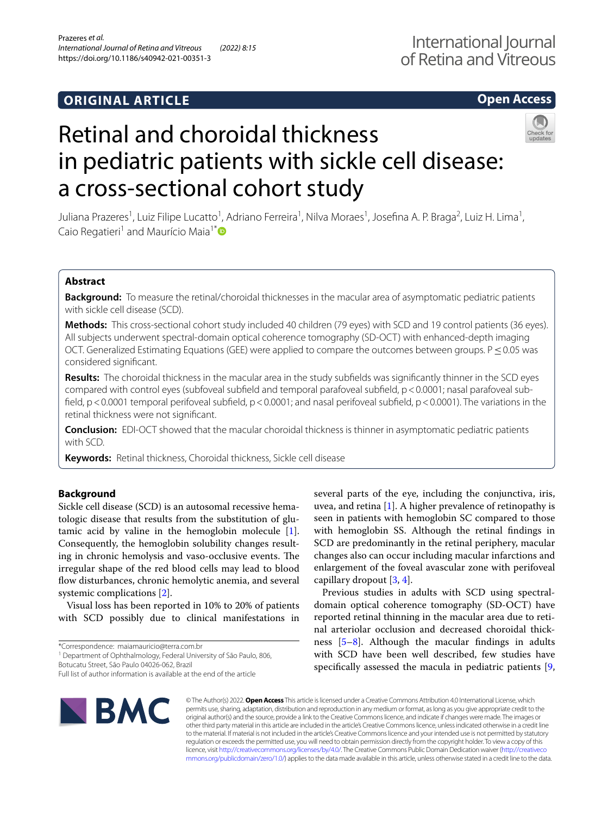# **ORIGINAL ARTICLE**

## **Open Access**



# Retinal and choroidal thickness in pediatric patients with sickle cell disease: a cross-sectional cohort study

Juliana Prazeres<sup>1</sup>, Luiz Filipe Lucatto<sup>1</sup>, Adriano Ferreira<sup>1</sup>, Nilva Moraes<sup>1</sup>, Josefina A. P. Braga<sup>2</sup>, Luiz H. Lima<sup>1</sup>, Caio Regatieri<sup>1</sup> and Maurício Maia<sup>1[\\*](http://orcid.org/0000-0002-7034-8091)</sup>

## **Abstract**

**Background:** To measure the retinal/choroidal thicknesses in the macular area of asymptomatic pediatric patients with sickle cell disease (SCD).

**Methods:** This cross-sectional cohort study included 40 children (79 eyes) with SCD and 19 control patients (36 eyes). All subjects underwent spectral-domain optical coherence tomography (SD-OCT) with enhanced-depth imaging OCT. Generalized Estimating Equations (GEE) were applied to compare the outcomes between groups. P < 0.05 was considered signifcant.

**Results:** The choroidal thickness in the macular area in the study subfelds was signifcantly thinner in the SCD eyes compared with control eyes (subfoveal subfeld and temporal parafoveal subfeld, p<0.0001; nasal parafoveal subfeld, p<0.0001 temporal perifoveal subfeld, p<0.0001; and nasal perifoveal subfeld, p<0.0001). The variations in the retinal thickness were not signifcant.

**Conclusion:** EDI-OCT showed that the macular choroidal thickness is thinner in asymptomatic pediatric patients with SCD.

**Keywords:** Retinal thickness, Choroidal thickness, Sickle cell disease

## **Background**

Sickle cell disease (SCD) is an autosomal recessive hematologic disease that results from the substitution of glutamic acid by valine in the hemoglobin molecule [\[1](#page-5-0)]. Consequently, the hemoglobin solubility changes resulting in chronic hemolysis and vaso-occlusive events. The irregular shape of the red blood cells may lead to blood flow disturbances, chronic hemolytic anemia, and several systemic complications [[2\]](#page-5-1).

Visual loss has been reported in 10% to 20% of patients with SCD possibly due to clinical manifestations in

<sup>1</sup> Department of Ophthalmology, Federal University of São Paulo, 806,

Botucatu Street, São Paulo 04026-062, Brazil

several parts of the eye, including the conjunctiva, iris, uvea, and retina  $[1]$  $[1]$ . A higher prevalence of retinopathy is seen in patients with hemoglobin SC compared to those with hemoglobin SS. Although the retinal fndings in SCD are predominantly in the retinal periphery, macular changes also can occur including macular infarctions and enlargement of the foveal avascular zone with perifoveal capillary dropout [[3,](#page-5-2) [4](#page-5-3)].

Previous studies in adults with SCD using spectraldomain optical coherence tomography (SD-OCT) have reported retinal thinning in the macular area due to retinal arteriolar occlusion and decreased choroidal thickness [\[5](#page-5-4)[–8](#page-5-5)]. Although the macular fndings in adults with SCD have been well described, few studies have specifcally assessed the macula in pediatric patients [\[9](#page-5-6),



© The Author(s) 2022. **Open Access** This article is licensed under a Creative Commons Attribution 4.0 International License, which permits use, sharing, adaptation, distribution and reproduction in any medium or format, as long as you give appropriate credit to the original author(s) and the source, provide a link to the Creative Commons licence, and indicate if changes were made. The images or other third party material in this article are included in the article's Creative Commons licence, unless indicated otherwise in a credit line to the material. If material is not included in the article's Creative Commons licence and your intended use is not permitted by statutory regulation or exceeds the permitted use, you will need to obtain permission directly from the copyright holder. To view a copy of this licence, visit [http://creativecommons.org/licenses/by/4.0/.](http://creativecommons.org/licenses/by/4.0/) The Creative Commons Public Domain Dedication waiver ([http://creativeco](http://creativecommons.org/publicdomain/zero/1.0/) [mmons.org/publicdomain/zero/1.0/](http://creativecommons.org/publicdomain/zero/1.0/)) applies to the data made available in this article, unless otherwise stated in a credit line to the data.

<sup>\*</sup>Correspondence: maiamauricio@terra.com.br

Full list of author information is available at the end of the article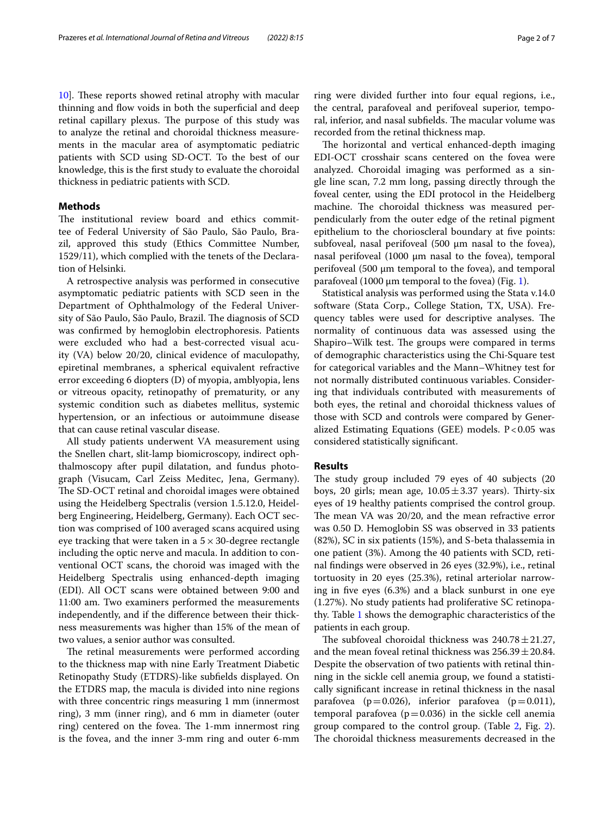[10\]](#page-5-7). These reports showed retinal atrophy with macular thinning and fow voids in both the superfcial and deep retinal capillary plexus. The purpose of this study was to analyze the retinal and choroidal thickness measurements in the macular area of asymptomatic pediatric patients with SCD using SD-OCT. To the best of our knowledge, this is the frst study to evaluate the choroidal thickness in pediatric patients with SCD.

## **Methods**

The institutional review board and ethics committee of Federal University of São Paulo, São Paulo, Brazil, approved this study (Ethics Committee Number, 1529/11), which complied with the tenets of the Declaration of Helsinki.

A retrospective analysis was performed in consecutive asymptomatic pediatric patients with SCD seen in the Department of Ophthalmology of the Federal University of São Paulo, São Paulo, Brazil. The diagnosis of SCD was confrmed by hemoglobin electrophoresis. Patients were excluded who had a best-corrected visual acuity (VA) below 20/20, clinical evidence of maculopathy, epiretinal membranes, a spherical equivalent refractive error exceeding 6 diopters (D) of myopia, amblyopia, lens or vitreous opacity, retinopathy of prematurity, or any systemic condition such as diabetes mellitus, systemic hypertension, or an infectious or autoimmune disease that can cause retinal vascular disease.

All study patients underwent VA measurement using the Snellen chart, slit-lamp biomicroscopy, indirect ophthalmoscopy after pupil dilatation, and fundus photograph (Visucam, Carl Zeiss Meditec, Jena, Germany). The SD-OCT retinal and choroidal images were obtained using the Heidelberg Spectralis (version 1.5.12.0, Heidelberg Engineering, Heidelberg, Germany). Each OCT section was comprised of 100 averaged scans acquired using eye tracking that were taken in a  $5 \times 30$ -degree rectangle including the optic nerve and macula. In addition to conventional OCT scans, the choroid was imaged with the Heidelberg Spectralis using enhanced-depth imaging (EDI). All OCT scans were obtained between 9:00 and 11:00 am. Two examiners performed the measurements independently, and if the diference between their thickness measurements was higher than 15% of the mean of two values, a senior author was consulted.

The retinal measurements were performed according to the thickness map with nine Early Treatment Diabetic Retinopathy Study (ETDRS)-like subfelds displayed. On the ETDRS map, the macula is divided into nine regions with three concentric rings measuring 1 mm (innermost ring), 3 mm (inner ring), and 6 mm in diameter (outer ring) centered on the fovea. The 1-mm innermost ring is the fovea, and the inner 3-mm ring and outer 6-mm ring were divided further into four equal regions, i.e., the central, parafoveal and perifoveal superior, temporal, inferior, and nasal subfields. The macular volume was recorded from the retinal thickness map.

The horizontal and vertical enhanced-depth imaging EDI-OCT crosshair scans centered on the fovea were analyzed. Choroidal imaging was performed as a single line scan, 7.2 mm long, passing directly through the foveal center, using the EDI protocol in the Heidelberg machine. The choroidal thickness was measured perpendicularly from the outer edge of the retinal pigment epithelium to the chorioscleral boundary at fve points: subfoveal, nasal perifoveal  $(500 \mu m)$  nasal to the fovea), nasal perifoveal  $(1000 \mu m)$  nasal to the fovea), temporal perifoveal (500 μm temporal to the fovea), and temporal parafoveal (1000 μm temporal to the fovea) (Fig. [1\)](#page-2-0).

Statistical analysis was performed using the Stata v.14.0 software (Stata Corp., College Station, TX, USA). Frequency tables were used for descriptive analyses. The normality of continuous data was assessed using the Shapiro–Wilk test. The groups were compared in terms of demographic characteristics using the Chi-Square test for categorical variables and the Mann–Whitney test for not normally distributed continuous variables. Considering that individuals contributed with measurements of both eyes, the retinal and choroidal thickness values of those with SCD and controls were compared by Generalized Estimating Equations (GEE) models.  $P < 0.05$  was considered statistically signifcant.

#### **Results**

The study group included 79 eyes of 40 subjects (20 boys, 20 girls; mean age,  $10.05 \pm 3.37$  years). Thirty-six eyes of 19 healthy patients comprised the control group. The mean VA was 20/20, and the mean refractive error was 0.50 D. Hemoglobin SS was observed in 33 patients (82%), SC in six patients (15%), and S-beta thalassemia in one patient (3%). Among the 40 patients with SCD, retinal fndings were observed in 26 eyes (32.9%), i.e., retinal tortuosity in 20 eyes (25.3%), retinal arteriolar narrowing in fve eyes (6.3%) and a black sunburst in one eye (1.27%). No study patients had proliferative SC retinopathy. Table [1](#page-2-1) shows the demographic characteristics of the patients in each group.

The subfoveal choroidal thickness was  $240.78 \pm 21.27$ , and the mean foveal retinal thickness was  $256.39 \pm 20.84$ . Despite the observation of two patients with retinal thinning in the sickle cell anemia group, we found a statistically signifcant increase in retinal thickness in the nasal parafovea ( $p=0.026$ ), inferior parafovea ( $p=0.011$ ), temporal parafovea ( $p=0.036$ ) in the sickle cell anemia group compared to the control group. (Table [2,](#page-3-0) Fig. [2](#page-3-1)). The choroidal thickness measurements decreased in the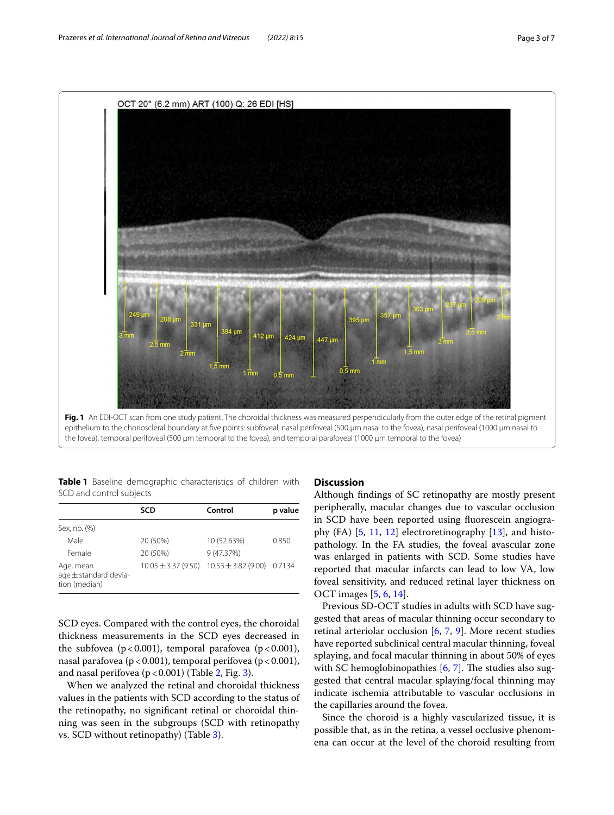

<span id="page-2-0"></span>

<span id="page-2-1"></span>**Table 1** Baseline demographic characteristics of children with SCD and control subjects

|                                                         | SCD                    | Control                        | p value |
|---------------------------------------------------------|------------------------|--------------------------------|---------|
| Sex, no. (%)                                            |                        |                                |         |
| Male                                                    | 20 (50%)               | 10 (52.63%)                    | 0.850   |
| Female                                                  | 20 (50%)               | 9(47.37%)                      |         |
| Age, mean<br>$age \pm standard$ devia-<br>tion (median) | $10.05 \pm 3.37(9.50)$ | $10.53 \pm 3.82$ (9.00) 0.7134 |         |

SCD eyes. Compared with the control eyes, the choroidal thickness measurements in the SCD eyes decreased in the subfovea ( $p < 0.001$ ), temporal parafovea ( $p < 0.001$ ), nasal parafovea (p<0.001), temporal perifovea (p<0.001), and nasal perifovea ( $p < 0.001$ ) (Table [2](#page-3-0), Fig. [3\)](#page-4-0).

When we analyzed the retinal and choroidal thickness values in the patients with SCD according to the status of the retinopathy, no signifcant retinal or choroidal thinning was seen in the subgroups (SCD with retinopathy vs. SCD without retinopathy) (Table [3](#page-4-1)).

### **Discussion**

Although fndings of SC retinopathy are mostly present peripherally, macular changes due to vascular occlusion in SCD have been reported using fuorescein angiography (FA) [[5,](#page-5-4) [11](#page-5-8), [12\]](#page-5-9) electroretinography [[13](#page-5-10)], and histopathology. In the FA studies, the foveal avascular zone was enlarged in patients with SCD. Some studies have reported that macular infarcts can lead to low VA, low foveal sensitivity, and reduced retinal layer thickness on OCT images [\[5](#page-5-4), [6,](#page-5-11) [14](#page-6-0)].

Previous SD-OCT studies in adults with SCD have suggested that areas of macular thinning occur secondary to retinal arteriolar occlusion [\[6](#page-5-11), [7,](#page-5-12) [9\]](#page-5-6). More recent studies have reported subclinical central macular thinning, foveal splaying, and focal macular thinning in about 50% of eyes with SC hemoglobinopathies  $[6, 7]$  $[6, 7]$  $[6, 7]$  $[6, 7]$ . The studies also suggested that central macular splaying/focal thinning may indicate ischemia attributable to vascular occlusions in the capillaries around the fovea.

Since the choroid is a highly vascularized tissue, it is possible that, as in the retina, a vessel occlusive phenomena can occur at the level of the choroid resulting from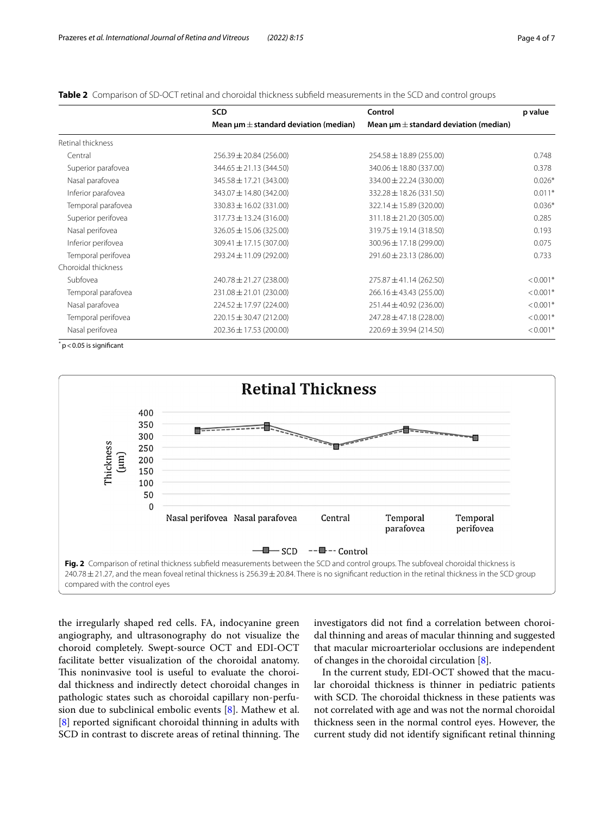|                     | <b>SCD</b>                                     | Control                                        | p value    |
|---------------------|------------------------------------------------|------------------------------------------------|------------|
|                     | Mean $\mu$ m $\pm$ standard deviation (median) | Mean $\mu$ m $\pm$ standard deviation (median) |            |
| Retinal thickness   |                                                |                                                |            |
| Central             | $256.39 \pm 20.84$ (256.00)                    | $254.58 \pm 18.89$ (255.00)                    | 0.748      |
| Superior parafovea  | $344.65 \pm 21.13(344.50)$                     | $340.06 \pm 18.80$ (337.00)                    | 0.378      |
| Nasal parafovea     | $345.58 \pm 17.21$ (343.00)                    | $334.00 \pm 22.24$ (330.00)                    | $0.026*$   |
| Inferior parafovea  | 343.07 ± 14.80 (342.00)                        | $332.28 \pm 18.26$ (331.50)                    | $0.011*$   |
| Temporal parafovea  | $330.83 \pm 16.02$ (331.00)                    | $322.14 \pm 15.89$ (320.00)                    | $0.036*$   |
| Superior perifovea  | $317.73 \pm 13.24 (316.00)$                    | $311.18 \pm 21.20$ (305.00)                    | 0.285      |
| Nasal perifovea     | $326.05 \pm 15.06$ (325.00)                    | $319.75 \pm 19.14 (318.50)$                    | 0.193      |
| Inferior perifovea  | $309.41 \pm 17.15 (307.00)$                    | $300.96 \pm 17.18$ (299.00)                    | 0.075      |
| Temporal perifovea  | $293.24 \pm 11.09$ (292.00)                    | $291.60 \pm 23.13$ (286.00)                    | 0.733      |
| Choroidal thickness |                                                |                                                |            |
| Subfovea            | $240.78 \pm 21.27$ (238.00)                    | $275.87 \pm 41.14$ (262.50)                    | $< 0.001*$ |
| Temporal parafovea  | $231.08 \pm 21.01$ (230.00)                    | $266.16 \pm 43.43$ (255.00)                    | $< 0.001*$ |
| Nasal parafovea     | $224.52 \pm 17.97$ (224.00)                    | $251.44 \pm 40.92$ (236.00)                    | $< 0.001*$ |
| Temporal perifovea  | $220.15 \pm 30.47$ (212.00)                    | $247.28 \pm 47.18$ (228.00)                    | $< 0.001*$ |
| Nasal perifovea     | $202.36 \pm 17.53$ (200.00)                    | $220.69 \pm 39.94$ (214.50)                    | $< 0.001*$ |

<span id="page-3-0"></span>**Table 2** Comparison of SD-OCT retinal and choroidal thickness subfeld measurements in the SCD and control groups

*\** p<0.05 is signifcant



<span id="page-3-1"></span>the irregularly shaped red cells. FA, indocyanine green angiography, and ultrasonography do not visualize the choroid completely. Swept-source OCT and EDI-OCT facilitate better visualization of the choroidal anatomy. This noninvasive tool is useful to evaluate the choroidal thickness and indirectly detect choroidal changes in pathologic states such as choroidal capillary non-perfusion due to subclinical embolic events [[8\]](#page-5-5). Mathew et al. [[8\]](#page-5-5) reported signifcant choroidal thinning in adults with SCD in contrast to discrete areas of retinal thinning. The investigators did not fnd a correlation between choroidal thinning and areas of macular thinning and suggested that macular microarteriolar occlusions are independent of changes in the choroidal circulation [[8](#page-5-5)].

In the current study, EDI-OCT showed that the macular choroidal thickness is thinner in pediatric patients with SCD. The choroidal thickness in these patients was not correlated with age and was not the normal choroidal thickness seen in the normal control eyes. However, the current study did not identify signifcant retinal thinning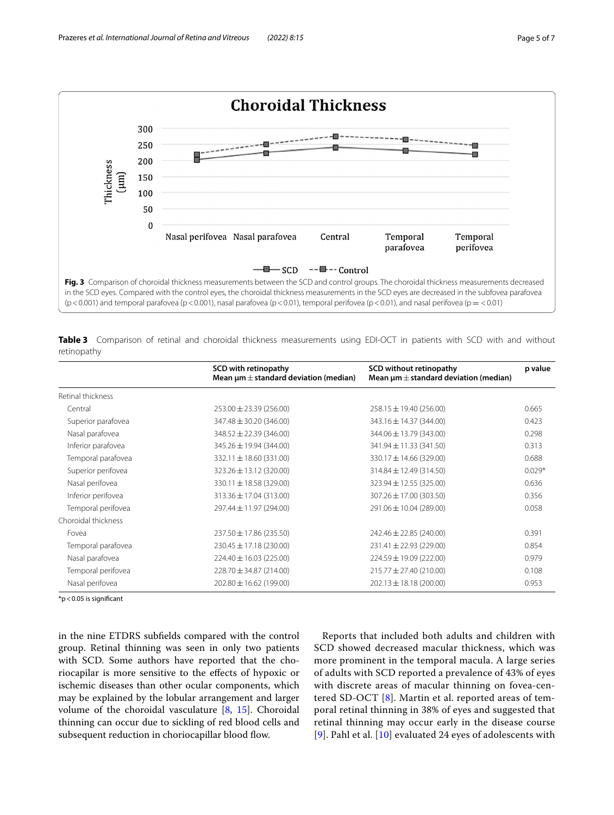

<span id="page-4-1"></span><span id="page-4-0"></span>**Table 3** Comparison of retinal and choroidal thickness measurements using EDI-OCT in patients with SCD with and without retinopathy

|                     | <b>SCD with retinopathy</b><br>Mean $\mu$ m $\pm$ standard deviation (median) | SCD without retinopathy<br>Mean $\mu$ m $\pm$ standard deviation (median) | p value  |
|---------------------|-------------------------------------------------------------------------------|---------------------------------------------------------------------------|----------|
| Retinal thickness   |                                                                               |                                                                           |          |
| Central             | $253.00 \pm 23.39$ (256.00)                                                   | $258.15 \pm 19.40$ (256.00)                                               | 0.665    |
| Superior parafovea  | $347.48 \pm 30.20$ (346.00)                                                   | $343.16 \pm 14.37$ (344.00)                                               | 0.423    |
| Nasal parafovea     | $348.52 \pm 22.39$ (346.00)                                                   | $344.06 \pm 13.79$ (343.00)                                               | 0.298    |
| Inferior parafovea  | $345.26 \pm 19.94$ (344.00)                                                   | $341.94 \pm 11.33(341.50)$                                                | 0.313    |
| Temporal parafovea  | $332.11 \pm 18.60$ (331.00)                                                   | $330.17 \pm 14.66$ (329.00)                                               | 0.688    |
| Superior perifovea  | $323.26 \pm 13.12$ (320.00)                                                   | $314.84 \pm 12.49$ (314.50)                                               | $0.029*$ |
| Nasal perifovea     | $330.11 \pm 18.58$ (329.00)                                                   | $323.94 \pm 12.55$ (325.00)                                               | 0.636    |
| Inferior perifovea  | $313.36 \pm 17.04$ (313.00)                                                   | $307.26 \pm 17.00$ (303.50)                                               | 0.356    |
| Temporal perifovea  | 297.44 ± 11.97 (294.00)                                                       | $291.06 \pm 10.04$ (289.00)                                               | 0.058    |
| Choroidal thickness |                                                                               |                                                                           |          |
| Fovea               | $237.50 \pm 17.86$ (235.50)                                                   | $242.46 \pm 22.85$ (240.00)                                               | 0.391    |
| Temporal parafovea  | $230.45 \pm 17.18$ (230.00)                                                   | $231.41 \pm 22.93$ (229.00)                                               | 0.854    |
| Nasal parafovea     | 224.40 ± 16.03 (225.00)                                                       | 224.59 ± 19.09 (222.00)                                                   | 0.979    |
| Temporal perifovea  | $228.70 \pm 34.87$ (214.00)                                                   | $215.77 \pm 27.40$ (210.00)                                               | 0.108    |
| Nasal perifovea     | $202.80 \pm 16.62$ (199.00)                                                   | $202.13 \pm 18.18$ (200.00)                                               | 0.953    |

 $*$ p < 0.05 is significant

in the nine ETDRS subfelds compared with the control group. Retinal thinning was seen in only two patients with SCD. Some authors have reported that the choriocapilar is more sensitive to the efects of hypoxic or ischemic diseases than other ocular components, which may be explained by the lobular arrangement and larger volume of the choroidal vasculature [\[8](#page-5-5), [15\]](#page-6-1). Choroidal thinning can occur due to sickling of red blood cells and subsequent reduction in choriocapillar blood flow.

Reports that included both adults and children with SCD showed decreased macular thickness, which was more prominent in the temporal macula. A large series of adults with SCD reported a prevalence of 43% of eyes with discrete areas of macular thinning on fovea-centered SD-OCT [[8\]](#page-5-5). Martin et al. reported areas of temporal retinal thinning in 38% of eyes and suggested that retinal thinning may occur early in the disease course [[9](#page-5-6)]. Pahl et al. [\[10\]](#page-5-7) evaluated 24 eyes of adolescents with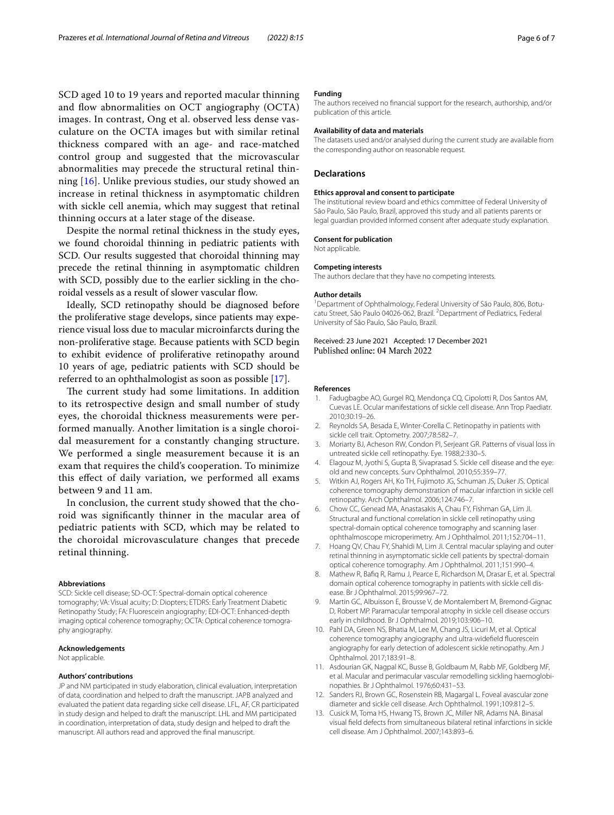SCD aged 10 to 19 years and reported macular thinning and flow abnormalities on OCT angiography (OCTA) images. In contrast, Ong et al. observed less dense vasculature on the OCTA images but with similar retinal thickness compared with an age- and race-matched control group and suggested that the microvascular abnormalities may precede the structural retinal thinning [\[16](#page-6-2)]. Unlike previous studies, our study showed an increase in retinal thickness in asymptomatic children with sickle cell anemia, which may suggest that retinal thinning occurs at a later stage of the disease.

Despite the normal retinal thickness in the study eyes, we found choroidal thinning in pediatric patients with SCD. Our results suggested that choroidal thinning may precede the retinal thinning in asymptomatic children with SCD, possibly due to the earlier sickling in the choroidal vessels as a result of slower vascular flow.

Ideally, SCD retinopathy should be diagnosed before the proliferative stage develops, since patients may experience visual loss due to macular microinfarcts during the non-proliferative stage. Because patients with SCD begin to exhibit evidence of proliferative retinopathy around 10 years of age, pediatric patients with SCD should be referred to an ophthalmologist as soon as possible [[17\]](#page-6-3).

The current study had some limitations. In addition to its retrospective design and small number of study eyes, the choroidal thickness measurements were performed manually. Another limitation is a single choroidal measurement for a constantly changing structure. We performed a single measurement because it is an exam that requires the child's cooperation. To minimize this efect of daily variation, we performed all exams between 9 and 11 am.

In conclusion, the current study showed that the choroid was signifcantly thinner in the macular area of pediatric patients with SCD, which may be related to the choroidal microvasculature changes that precede retinal thinning.

#### **Abbreviations**

SCD: Sickle cell disease; SD-OCT: Spectral-domain optical coherence tomography; VA: Visual acuity; D: Diopters; ETDRS: Early Treatment Diabetic Retinopathy Study; FA: Fluorescein angiography; EDI-OCT: Enhanced-depth imaging optical coherence tomography; OCTA: Optical coherence tomography angiography.

#### **Acknowledgements**

Not applicable.

#### **Authors' contributions**

JP and NM participated in study elaboration, clinical evaluation, interpretation of data, coordination and helped to draft the manuscript. JAPB analyzed and evaluated the patient data regarding sicke cell disease. LFL, AF, CR participated in study design and helped to draft the manuscript. LHL and MM participated in coordination, interpretation of data, study design and helped to draft the manuscript. All authors read and approved the fnal manuscript.

#### **Funding**

The authors received no fnancial support for the research, authorship, and/or publication of this article.

#### **Availability of data and materials**

The datasets used and/or analysed during the current study are available from the corresponding author on reasonable request.

#### **Declarations**

#### **Ethics approval and consent to participate**

The institutional review board and ethics committee of Federal University of São Paulo, São Paulo, Brazil, approved this study and all patients parents or legal guardian provided informed consent after adequate study explanation.

#### **Consent for publication** Not applicable.

#### **Competing interests**

The authors declare that they have no competing interests.

#### **Author details**

<sup>1</sup> Department of Ophthalmology, Federal University of São Paulo, 806, Botucatu Street, São Paulo 04026-062, Brazil. <sup>2</sup> Department of Pediatrics, Federal University of São Paulo, São Paulo, Brazil.

Received: 23 June 2021 Accepted: 17 December 2021 Published online: 04 March 2022

#### **References**

- <span id="page-5-0"></span>1. Fadugbagbe AO, Gurgel RQ, Mendonça CQ, Cipolotti R, Dos Santos AM, Cuevas LE. Ocular manifestations of sickle cell disease. Ann Trop Paediatr. 2010;30:19–26.
- <span id="page-5-1"></span>2. Reynolds SA, Besada E, Winter-Corella C. Retinopathy in patients with sickle cell trait. Optometry. 2007;78:582–7.
- <span id="page-5-2"></span>3. Moriarty BJ, Acheson RW, Condon PI, Serjeant GR. Patterns of visual loss in untreated sickle cell retinopathy. Eye. 1988;2:330–5.
- <span id="page-5-3"></span>4. Elagouz M, Jyothi S, Gupta B, Sivaprasad S. Sickle cell disease and the eye: old and new concepts. Surv Ophthalmol. 2010;55:359–77.
- <span id="page-5-4"></span>5. Witkin AJ, Rogers AH, Ko TH, Fujimoto JG, Schuman JS, Duker JS. Optical coherence tomography demonstration of macular infarction in sickle cell retinopathy. Arch Ophthalmol. 2006;124:746–7.
- <span id="page-5-11"></span>6. Chow CC, Genead MA, Anastasakis A, Chau FY, Fishman GA, Lim JI. Structural and functional correlation in sickle cell retinopathy using spectral-domain optical coherence tomography and scanning laser ophthalmoscope microperimetry. Am J Ophthalmol. 2011;152:704–11.
- <span id="page-5-12"></span>7. Hoang QV, Chau FY, Shahidi M, Lim JI. Central macular splaying and outer retinal thinning in asymptomatic sickle cell patients by spectral-domain optical coherence tomography. Am J Ophthalmol. 2011;151:990–4.
- <span id="page-5-5"></span>8. Mathew R, Bafq R, Ramu J, Pearce E, Richardson M, Drasar E, et al. Spectral domain optical coherence tomography in patients with sickle cell disease. Br J Ophthalmol. 2015;99:967–72.
- <span id="page-5-6"></span>9. Martin GC, Albuisson E, Brousse V, de Montalembert M, Bremond-Gignac D, Robert MP. Paramacular temporal atrophy in sickle cell disease occurs early in childhood. Br J Ophthalmol. 2019;103:906–10.
- <span id="page-5-7"></span>10. Pahl DA, Green NS, Bhatia M, Lee M, Chang JS, Licuri M, et al. Optical coherence tomography angiography and ultra-widefeld fuorescein angiography for early detection of adolescent sickle retinopathy. Am J Ophthalmol. 2017;183:91–8.
- <span id="page-5-8"></span>11. Asdourian GK, Nagpal KC, Busse B, Goldbaum M, Rabb MF, Goldberg MF, et al. Macular and perimacular vascular remodelling sickling haemoglobinopathies. Br J Ophthalmol. 1976;60:431–53.
- <span id="page-5-9"></span>12. Sanders RJ, Brown GC, Rosenstein RB, Magargal L. Foveal avascular zone diameter and sickle cell disease. Arch Ophthalmol. 1991;109:812–5.
- <span id="page-5-10"></span>13. Cusick M, Toma HS, Hwang TS, Brown JC, Miller NR, Adams NA. Binasal visual feld defects from simultaneous bilateral retinal infarctions in sickle cell disease. Am J Ophthalmol. 2007;143:893–6.